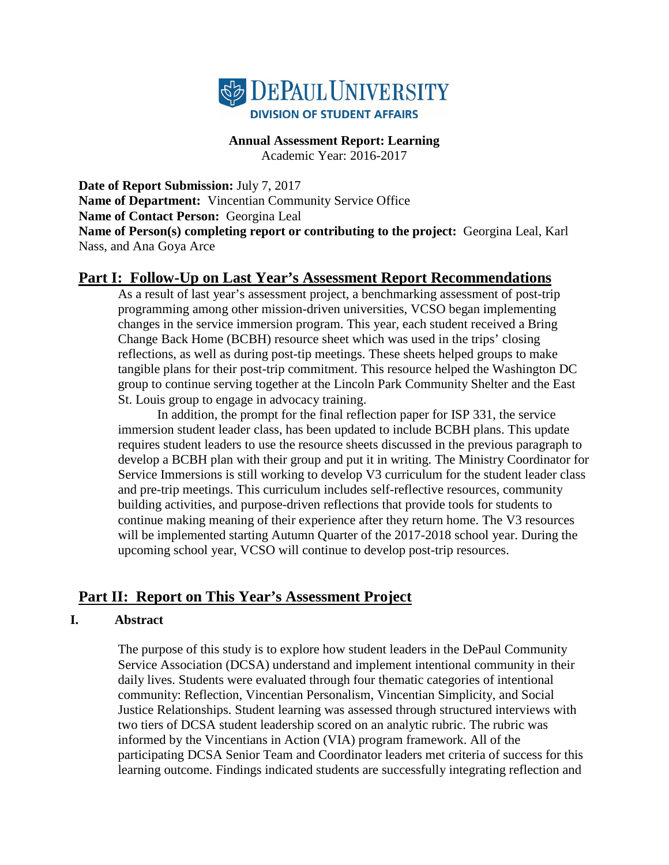

**Annual Assessment Report: Learning** Academic Year: 2016-2017

**Date of Report Submission:** July 7, 2017 **Name of Department:** Vincentian Community Service Office **Name of Contact Person:** Georgina Leal **Name of Person(s) completing report or contributing to the project:** Georgina Leal, Karl Nass, and Ana Goya Arce

## **Part I: Follow-Up on Last Year's Assessment Report Recommendations**

As a result of last year's assessment project, a benchmarking assessment of post-trip programming among other mission-driven universities, VCSO began implementing changes in the service immersion program. This year, each student received a Bring Change Back Home (BCBH) resource sheet which was used in the trips' closing reflections, as well as during post-tip meetings. These sheets helped groups to make tangible plans for their post-trip commitment. This resource helped the Washington DC group to continue serving together at the Lincoln Park Community Shelter and the East St. Louis group to engage in advocacy training.

In addition, the prompt for the final reflection paper for ISP 331, the service immersion student leader class, has been updated to include BCBH plans. This update requires student leaders to use the resource sheets discussed in the previous paragraph to develop a BCBH plan with their group and put it in writing. The Ministry Coordinator for Service Immersions is still working to develop V3 curriculum for the student leader class and pre-trip meetings. This curriculum includes self-reflective resources, community building activities, and purpose-driven reflections that provide tools for students to continue making meaning of their experience after they return home. The V3 resources will be implemented starting Autumn Quarter of the 2017-2018 school year. During the upcoming school year, VCSO will continue to develop post-trip resources.

## **Part II: Report on This Year's Assessment Project**

#### **I. Abstract**

The purpose of this study is to explore how student leaders in the DePaul Community Service Association (DCSA) understand and implement intentional community in their daily lives. Students were evaluated through four thematic categories of intentional community: Reflection, Vincentian Personalism, Vincentian Simplicity, and Social Justice Relationships. Student learning was assessed through structured interviews with two tiers of DCSA student leadership scored on an analytic rubric. The rubric was informed by the Vincentians in Action (VIA) program framework. All of the participating DCSA Senior Team and Coordinator leaders met criteria of success for this learning outcome. Findings indicated students are successfully integrating reflection and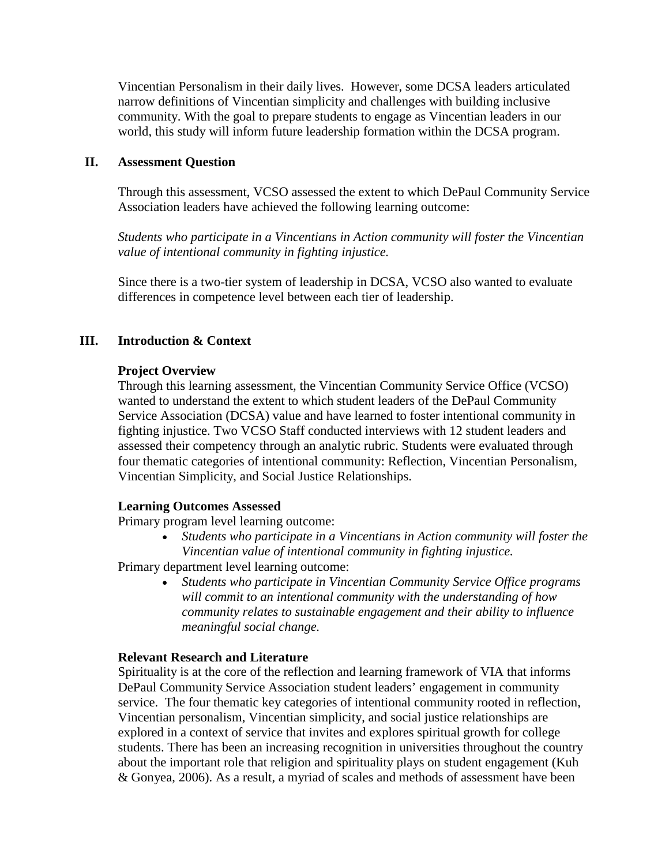Vincentian Personalism in their daily lives. However, some DCSA leaders articulated narrow definitions of Vincentian simplicity and challenges with building inclusive community. With the goal to prepare students to engage as Vincentian leaders in our world, this study will inform future leadership formation within the DCSA program.

#### **II. Assessment Question**

Through this assessment, VCSO assessed the extent to which DePaul Community Service Association leaders have achieved the following learning outcome:

*Students who participate in a Vincentians in Action community will foster the Vincentian value of intentional community in fighting injustice.*

Since there is a two-tier system of leadership in DCSA, VCSO also wanted to evaluate differences in competence level between each tier of leadership.

#### **III. Introduction & Context**

#### **Project Overview**

Through this learning assessment, the Vincentian Community Service Office (VCSO) wanted to understand the extent to which student leaders of the DePaul Community Service Association (DCSA) value and have learned to foster intentional community in fighting injustice. Two VCSO Staff conducted interviews with 12 student leaders and assessed their competency through an analytic rubric. Students were evaluated through four thematic categories of intentional community: Reflection, Vincentian Personalism, Vincentian Simplicity, and Social Justice Relationships.

#### **Learning Outcomes Assessed**

Primary program level learning outcome:

• *Students who participate in a Vincentians in Action community will foster the Vincentian value of intentional community in fighting injustice.*

Primary department level learning outcome:

• *Students who participate in Vincentian Community Service Office programs will commit to an intentional community with the understanding of how community relates to sustainable engagement and their ability to influence meaningful social change.* 

#### **Relevant Research and Literature**

Spirituality is at the core of the reflection and learning framework of VIA that informs DePaul Community Service Association student leaders' engagement in community service. The four thematic key categories of intentional community rooted in reflection, Vincentian personalism, Vincentian simplicity, and social justice relationships are explored in a context of service that invites and explores spiritual growth for college students. There has been an increasing recognition in universities throughout the country about the important role that religion and spirituality plays on student engagement (Kuh & Gonyea, 2006). As a result, a myriad of scales and methods of assessment have been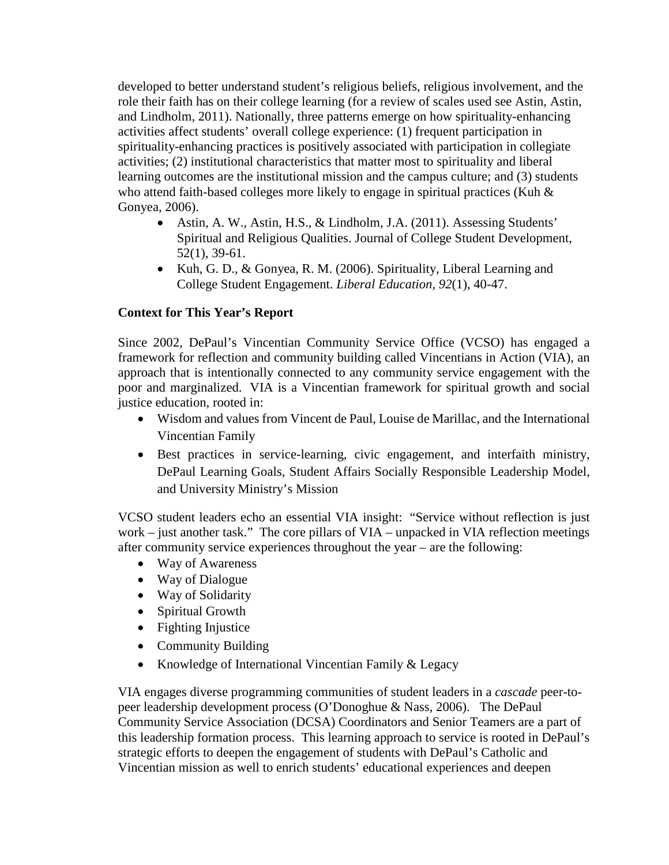developed to better understand student's religious beliefs, religious involvement, and the role their faith has on their college learning (for a review of scales used see Astin, Astin, and Lindholm, 2011). Nationally, three patterns emerge on how spirituality-enhancing activities affect students' overall college experience: (1) frequent participation in spirituality-enhancing practices is positively associated with participation in collegiate activities; (2) institutional characteristics that matter most to spirituality and liberal learning outcomes are the institutional mission and the campus culture; and (3) students who attend faith-based colleges more likely to engage in spiritual practices (Kuh & Gonyea, 2006).

- Astin, A. W., Astin, H.S., & Lindholm, J.A. (2011). Assessing Students' Spiritual and Religious Qualities. Journal of College Student Development, 52(1), 39-61.
- Kuh, G. D., & Gonyea, R. M. (2006). Spirituality, Liberal Learning and College Student Engagement. *Liberal Education, 92*(1), 40-47.

## **Context for This Year's Report**

Since 2002, DePaul's Vincentian Community Service Office (VCSO) has engaged a framework for reflection and community building called Vincentians in Action (VIA), an approach that is intentionally connected to any community service engagement with the poor and marginalized. VIA is a Vincentian framework for spiritual growth and social justice education, rooted in:

- Wisdom and values from Vincent de Paul, Louise de Marillac, and the International Vincentian Family
- Best practices in service-learning, civic engagement, and interfaith ministry, DePaul Learning Goals, Student Affairs Socially Responsible Leadership Model, and University Ministry's Mission

VCSO student leaders echo an essential VIA insight: "Service without reflection is just work – just another task." The core pillars of VIA – unpacked in VIA reflection meetings after community service experiences throughout the year – are the following:

- Way of Awareness
- Way of Dialogue
- Way of Solidarity
- Spiritual Growth
- Fighting Injustice
- Community Building
- Knowledge of International Vincentian Family & Legacy

VIA engages diverse programming communities of student leaders in a *cascade* peer-topeer leadership development process (O'Donoghue & Nass, 2006). The DePaul Community Service Association (DCSA) Coordinators and Senior Teamers are a part of this leadership formation process. This learning approach to service is rooted in DePaul's strategic efforts to deepen the engagement of students with DePaul's Catholic and Vincentian mission as well to enrich students' educational experiences and deepen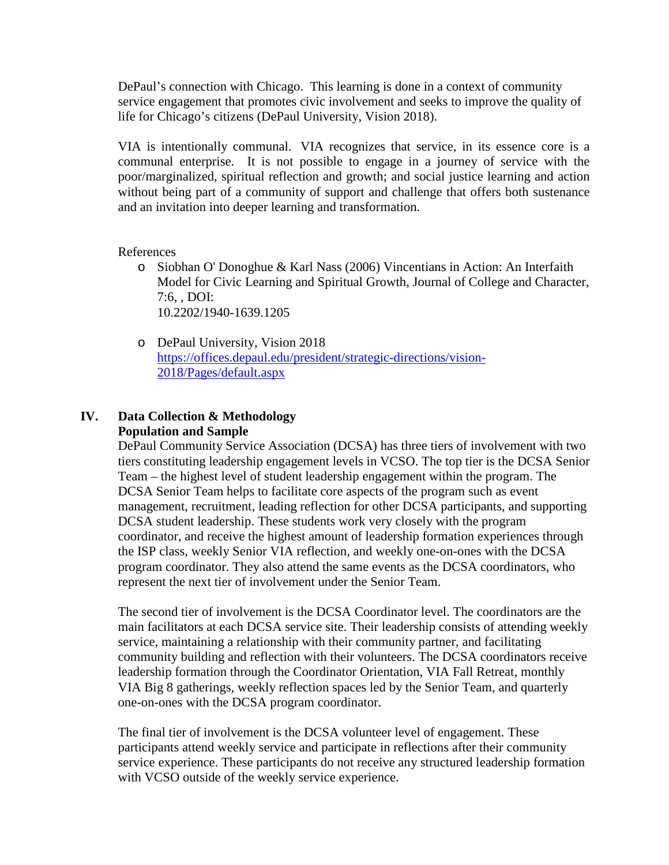DePaul's connection with Chicago. This learning is done in a context of community service engagement that promotes civic involvement and seeks to improve the quality of life for Chicago's citizens (DePaul University, Vision 2018).

VIA is intentionally communal. VIA recognizes that service, in its essence core is a communal enterprise. It is not possible to engage in a journey of service with the poor/marginalized, spiritual reflection and growth; and social justice learning and action without being part of a community of support and challenge that offers both sustenance and an invitation into deeper learning and transformation.

#### References

- o Siobhan O' Donoghue & Karl Nass (2006) Vincentians in Action: An Interfaith Model for Civic Learning and Spiritual Growth, Journal of College and Character, 7:6, , DOI: 10.2202/1940-1639.1205
- o DePaul University, Vision 2018 [https://offices.depaul.edu/president/strategic-directions/vision-](https://offices.depaul.edu/president/strategic-directions/vision-2018/Pages/default.aspx)[2018/Pages/default.aspx](https://offices.depaul.edu/president/strategic-directions/vision-2018/Pages/default.aspx)

## **IV. Data Collection & Methodology Population and Sample**

DePaul Community Service Association (DCSA) has three tiers of involvement with two tiers constituting leadership engagement levels in VCSO. The top tier is the DCSA Senior Team – the highest level of student leadership engagement within the program. The DCSA Senior Team helps to facilitate core aspects of the program such as event management, recruitment, leading reflection for other DCSA participants, and supporting DCSA student leadership. These students work very closely with the program coordinator, and receive the highest amount of leadership formation experiences through the ISP class, weekly Senior VIA reflection, and weekly one-on-ones with the DCSA program coordinator. They also attend the same events as the DCSA coordinators, who represent the next tier of involvement under the Senior Team.

The second tier of involvement is the DCSA Coordinator level. The coordinators are the main facilitators at each DCSA service site. Their leadership consists of attending weekly service, maintaining a relationship with their community partner, and facilitating community building and reflection with their volunteers. The DCSA coordinators receive leadership formation through the Coordinator Orientation, VIA Fall Retreat, monthly VIA Big 8 gatherings, weekly reflection spaces led by the Senior Team, and quarterly one-on-ones with the DCSA program coordinator.

The final tier of involvement is the DCSA volunteer level of engagement. These participants attend weekly service and participate in reflections after their community service experience. These participants do not receive any structured leadership formation with VCSO outside of the weekly service experience.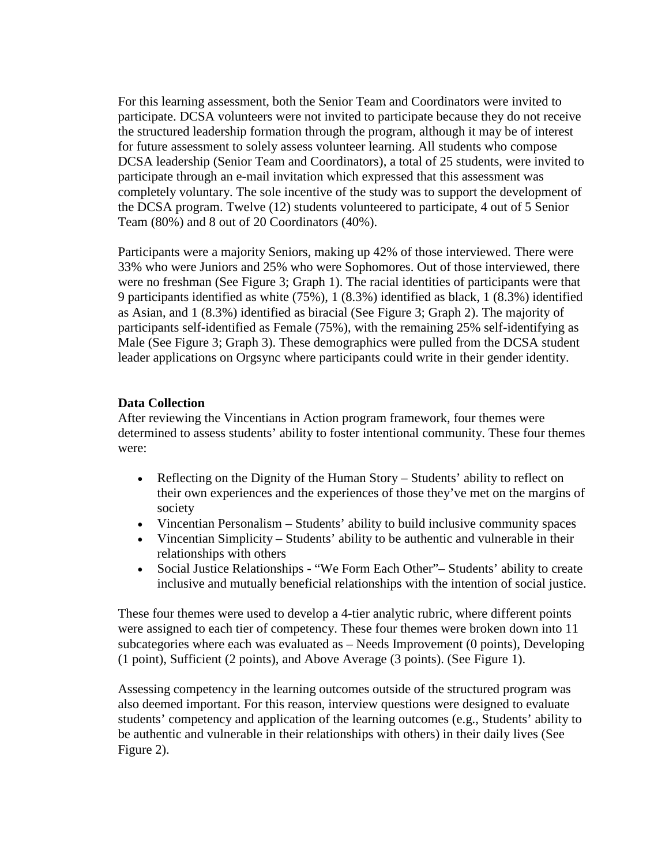For this learning assessment, both the Senior Team and Coordinators were invited to participate. DCSA volunteers were not invited to participate because they do not receive the structured leadership formation through the program, although it may be of interest for future assessment to solely assess volunteer learning. All students who compose DCSA leadership (Senior Team and Coordinators), a total of 25 students, were invited to participate through an e-mail invitation which expressed that this assessment was completely voluntary. The sole incentive of the study was to support the development of the DCSA program. Twelve (12) students volunteered to participate, 4 out of 5 Senior Team (80%) and 8 out of 20 Coordinators (40%).

Participants were a majority Seniors, making up 42% of those interviewed. There were 33% who were Juniors and 25% who were Sophomores. Out of those interviewed, there were no freshman (See Figure 3; Graph 1). The racial identities of participants were that 9 participants identified as white (75%), 1 (8.3%) identified as black, 1 (8.3%) identified as Asian, and 1 (8.3%) identified as biracial (See Figure 3; Graph 2). The majority of participants self-identified as Female (75%), with the remaining 25% self-identifying as Male (See Figure 3; Graph 3). These demographics were pulled from the DCSA student leader applications on Orgsync where participants could write in their gender identity.

#### **Data Collection**

After reviewing the Vincentians in Action program framework, four themes were determined to assess students' ability to foster intentional community. These four themes were:

- Reflecting on the Dignity of the Human Story Students' ability to reflect on their own experiences and the experiences of those they've met on the margins of society
- Vincentian Personalism Students' ability to build inclusive community spaces
- Vincentian Simplicity Students' ability to be authentic and vulnerable in their relationships with others
- Social Justice Relationships "We Form Each Other" Students' ability to create inclusive and mutually beneficial relationships with the intention of social justice.

These four themes were used to develop a 4-tier analytic rubric, where different points were assigned to each tier of competency. These four themes were broken down into 11 subcategories where each was evaluated as – Needs Improvement (0 points), Developing (1 point), Sufficient (2 points), and Above Average (3 points). (See Figure 1).

Assessing competency in the learning outcomes outside of the structured program was also deemed important. For this reason, interview questions were designed to evaluate students' competency and application of the learning outcomes (e.g., Students' ability to be authentic and vulnerable in their relationships with others) in their daily lives (See Figure 2).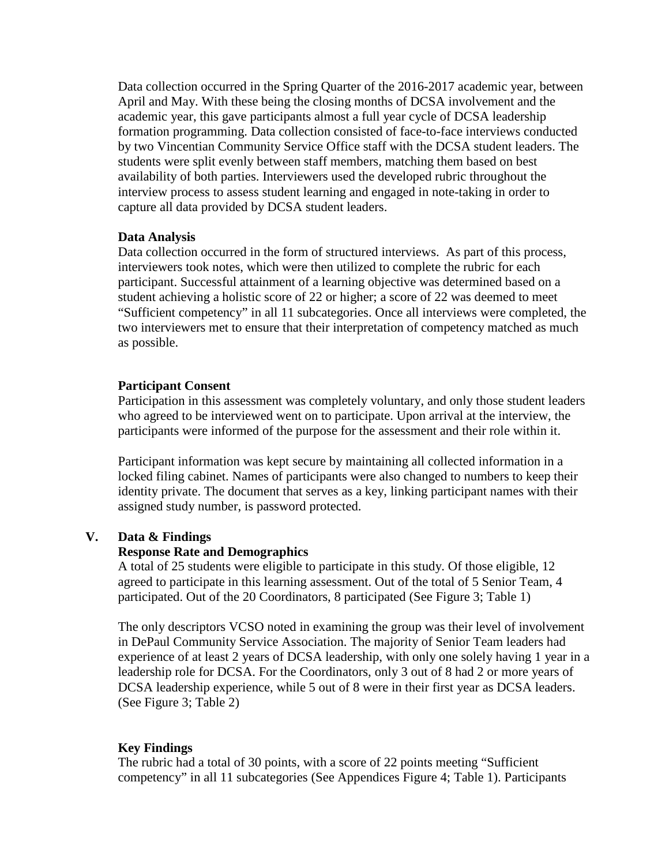Data collection occurred in the Spring Quarter of the 2016-2017 academic year, between April and May. With these being the closing months of DCSA involvement and the academic year, this gave participants almost a full year cycle of DCSA leadership formation programming. Data collection consisted of face-to-face interviews conducted by two Vincentian Community Service Office staff with the DCSA student leaders. The students were split evenly between staff members, matching them based on best availability of both parties. Interviewers used the developed rubric throughout the interview process to assess student learning and engaged in note-taking in order to capture all data provided by DCSA student leaders.

#### **Data Analysis**

Data collection occurred in the form of structured interviews. As part of this process, interviewers took notes, which were then utilized to complete the rubric for each participant. Successful attainment of a learning objective was determined based on a student achieving a holistic score of 22 or higher; a score of 22 was deemed to meet "Sufficient competency" in all 11 subcategories. Once all interviews were completed, the two interviewers met to ensure that their interpretation of competency matched as much as possible.

#### **Participant Consent**

Participation in this assessment was completely voluntary, and only those student leaders who agreed to be interviewed went on to participate. Upon arrival at the interview, the participants were informed of the purpose for the assessment and their role within it.

Participant information was kept secure by maintaining all collected information in a locked filing cabinet. Names of participants were also changed to numbers to keep their identity private. The document that serves as a key, linking participant names with their assigned study number, is password protected.

#### **V. Data & Findings**

#### **Response Rate and Demographics**

A total of 25 students were eligible to participate in this study. Of those eligible, 12 agreed to participate in this learning assessment. Out of the total of 5 Senior Team, 4 participated. Out of the 20 Coordinators, 8 participated (See Figure 3; Table 1)

The only descriptors VCSO noted in examining the group was their level of involvement in DePaul Community Service Association. The majority of Senior Team leaders had experience of at least 2 years of DCSA leadership, with only one solely having 1 year in a leadership role for DCSA. For the Coordinators, only 3 out of 8 had 2 or more years of DCSA leadership experience, while 5 out of 8 were in their first year as DCSA leaders. (See Figure 3; Table 2)

#### **Key Findings**

The rubric had a total of 30 points, with a score of 22 points meeting "Sufficient competency" in all 11 subcategories (See Appendices Figure 4; Table 1). Participants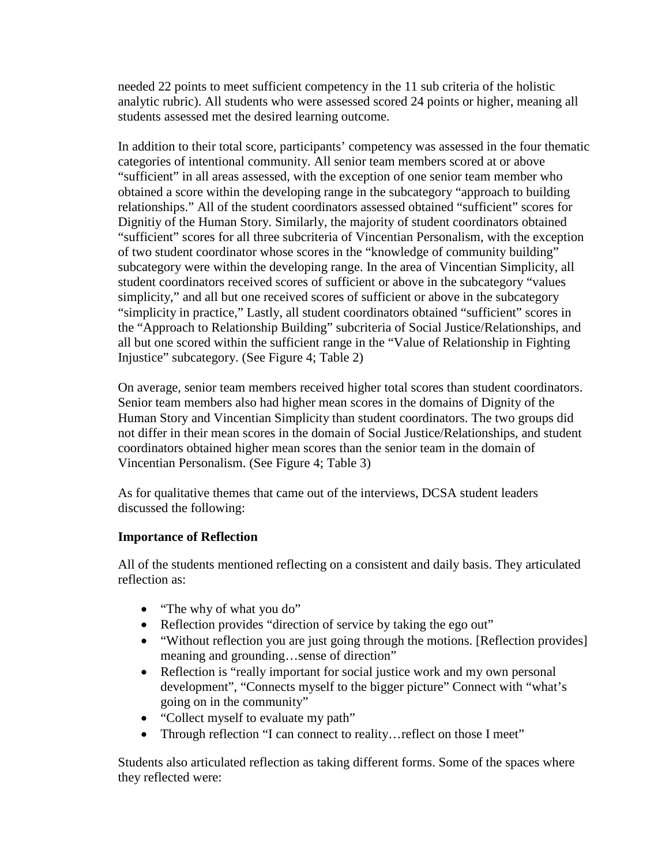needed 22 points to meet sufficient competency in the 11 sub criteria of the holistic analytic rubric). All students who were assessed scored 24 points or higher, meaning all students assessed met the desired learning outcome.

In addition to their total score, participants' competency was assessed in the four thematic categories of intentional community. All senior team members scored at or above "sufficient" in all areas assessed, with the exception of one senior team member who obtained a score within the developing range in the subcategory "approach to building relationships." All of the student coordinators assessed obtained "sufficient" scores for Dignitiy of the Human Story. Similarly, the majority of student coordinators obtained "sufficient" scores for all three subcriteria of Vincentian Personalism, with the exception of two student coordinator whose scores in the "knowledge of community building" subcategory were within the developing range. In the area of Vincentian Simplicity, all student coordinators received scores of sufficient or above in the subcategory "values simplicity," and all but one received scores of sufficient or above in the subcategory "simplicity in practice," Lastly, all student coordinators obtained "sufficient" scores in the "Approach to Relationship Building" subcriteria of Social Justice/Relationships, and all but one scored within the sufficient range in the "Value of Relationship in Fighting Injustice" subcategory. (See Figure 4; Table 2)

On average, senior team members received higher total scores than student coordinators. Senior team members also had higher mean scores in the domains of Dignity of the Human Story and Vincentian Simplicity than student coordinators. The two groups did not differ in their mean scores in the domain of Social Justice/Relationships, and student coordinators obtained higher mean scores than the senior team in the domain of Vincentian Personalism. (See Figure 4; Table 3)

As for qualitative themes that came out of the interviews, DCSA student leaders discussed the following:

## **Importance of Reflection**

All of the students mentioned reflecting on a consistent and daily basis. They articulated reflection as:

- "The why of what you do"
- Reflection provides "direction of service by taking the ego out"
- "Without reflection you are just going through the motions. [Reflection provides] meaning and grounding…sense of direction"
- Reflection is "really important for social justice work and my own personal development", "Connects myself to the bigger picture" Connect with "what's going on in the community"
- "Collect myself to evaluate my path"
- Through reflection "I can connect to reality…reflect on those I meet"

Students also articulated reflection as taking different forms. Some of the spaces where they reflected were: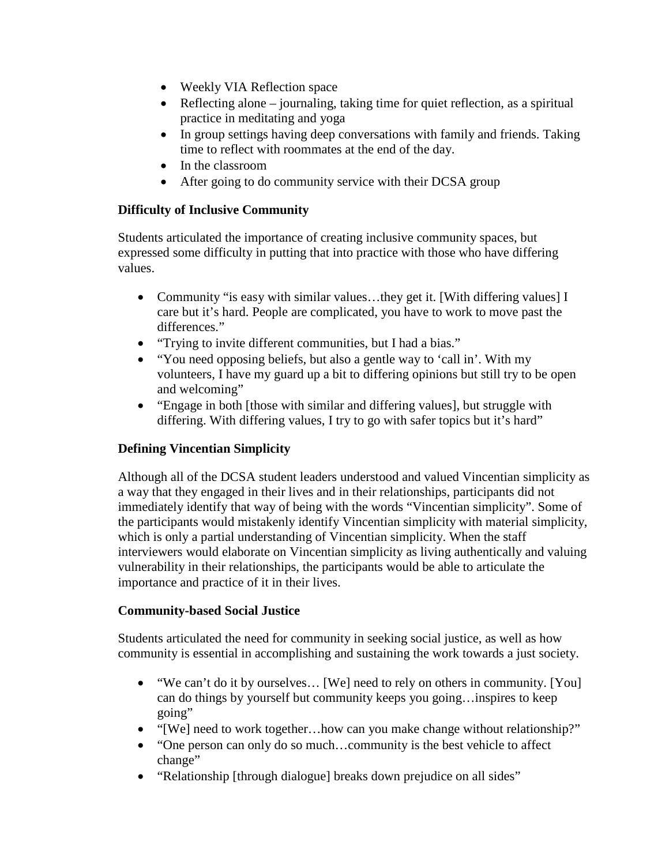- Weekly VIA Reflection space
- Reflecting alone journaling, taking time for quiet reflection, as a spiritual practice in meditating and yoga
- In group settings having deep conversations with family and friends. Taking time to reflect with roommates at the end of the day.
- In the classroom
- After going to do community service with their DCSA group

## **Difficulty of Inclusive Community**

Students articulated the importance of creating inclusive community spaces, but expressed some difficulty in putting that into practice with those who have differing values.

- Community "is easy with similar values...they get it. [With differing values] I care but it's hard. People are complicated, you have to work to move past the differences."
- "Trying to invite different communities, but I had a bias."
- "You need opposing beliefs, but also a gentle way to 'call in'. With my volunteers, I have my guard up a bit to differing opinions but still try to be open and welcoming"
- "Engage in both [those with similar and differing values], but struggle with differing. With differing values, I try to go with safer topics but it's hard"

## **Defining Vincentian Simplicity**

Although all of the DCSA student leaders understood and valued Vincentian simplicity as a way that they engaged in their lives and in their relationships, participants did not immediately identify that way of being with the words "Vincentian simplicity". Some of the participants would mistakenly identify Vincentian simplicity with material simplicity, which is only a partial understanding of Vincentian simplicity. When the staff interviewers would elaborate on Vincentian simplicity as living authentically and valuing vulnerability in their relationships, the participants would be able to articulate the importance and practice of it in their lives.

## **Community-based Social Justice**

Students articulated the need for community in seeking social justice, as well as how community is essential in accomplishing and sustaining the work towards a just society.

- "We can't do it by ourselves… [We] need to rely on others in community. [You] can do things by yourself but community keeps you going…inspires to keep going"
- "[We] need to work together...how can you make change without relationship?"
- "One person can only do so much...community is the best vehicle to affect change"
- "Relationship [through dialogue] breaks down prejudice on all sides"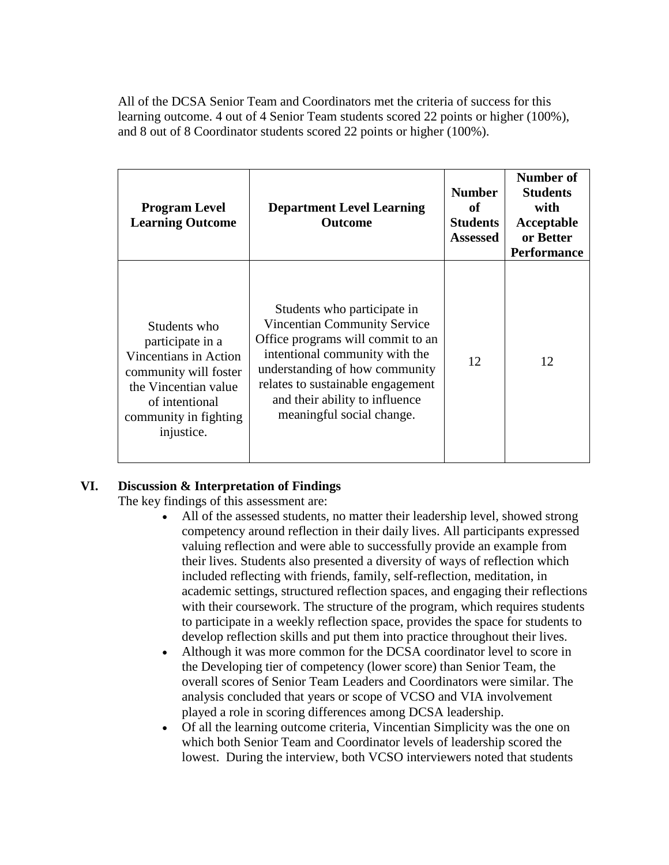All of the DCSA Senior Team and Coordinators met the criteria of success for this learning outcome. 4 out of 4 Senior Team students scored 22 points or higher (100%), and 8 out of 8 Coordinator students scored 22 points or higher (100%).

| <b>Program Level</b><br><b>Learning Outcome</b>                                                                                                                     | <b>Department Level Learning</b><br><b>Outcome</b>                                                                                                                                                                                                                              | <b>Number</b><br>of<br><b>Students</b><br><b>Assessed</b> | Number of<br><b>Students</b><br>with<br>Acceptable<br>or Better<br><b>Performance</b> |
|---------------------------------------------------------------------------------------------------------------------------------------------------------------------|---------------------------------------------------------------------------------------------------------------------------------------------------------------------------------------------------------------------------------------------------------------------------------|-----------------------------------------------------------|---------------------------------------------------------------------------------------|
| Students who<br>participate in a<br>Vincentians in Action<br>community will foster<br>the Vincentian value<br>of intentional<br>community in fighting<br>injustice. | Students who participate in<br><b>Vincentian Community Service</b><br>Office programs will commit to an<br>intentional community with the<br>understanding of how community<br>relates to sustainable engagement<br>and their ability to influence<br>meaningful social change. | 12                                                        | 12                                                                                    |

## **VI. Discussion & Interpretation of Findings**

The key findings of this assessment are:

- All of the assessed students, no matter their leadership level, showed strong competency around reflection in their daily lives. All participants expressed valuing reflection and were able to successfully provide an example from their lives. Students also presented a diversity of ways of reflection which included reflecting with friends, family, self-reflection, meditation, in academic settings, structured reflection spaces, and engaging their reflections with their coursework. The structure of the program, which requires students to participate in a weekly reflection space, provides the space for students to develop reflection skills and put them into practice throughout their lives.
- Although it was more common for the DCSA coordinator level to score in the Developing tier of competency (lower score) than Senior Team, the overall scores of Senior Team Leaders and Coordinators were similar. The analysis concluded that years or scope of VCSO and VIA involvement played a role in scoring differences among DCSA leadership.
- Of all the learning outcome criteria, Vincentian Simplicity was the one on which both Senior Team and Coordinator levels of leadership scored the lowest. During the interview, both VCSO interviewers noted that students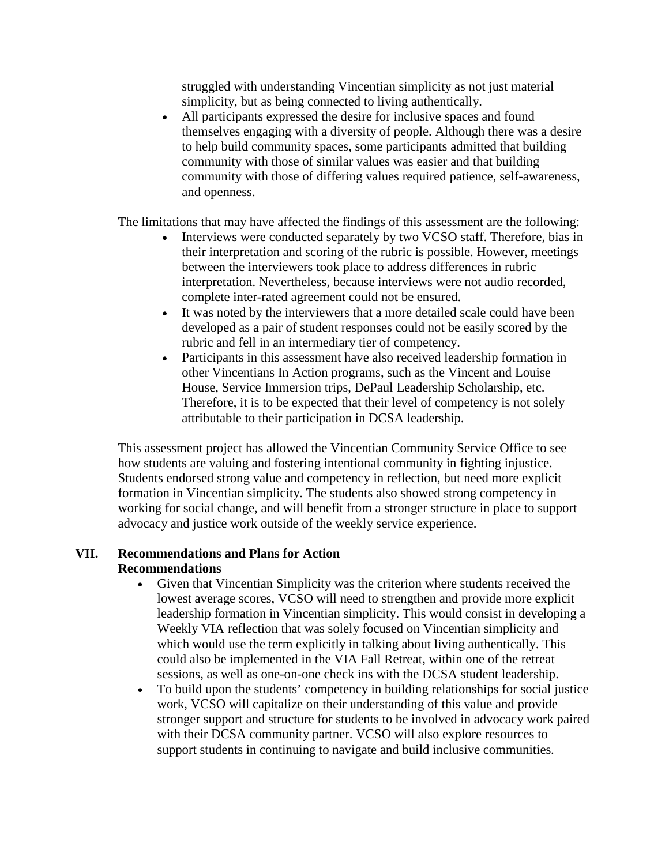struggled with understanding Vincentian simplicity as not just material simplicity, but as being connected to living authentically.

• All participants expressed the desire for inclusive spaces and found themselves engaging with a diversity of people. Although there was a desire to help build community spaces, some participants admitted that building community with those of similar values was easier and that building community with those of differing values required patience, self-awareness, and openness.

The limitations that may have affected the findings of this assessment are the following:

- Interviews were conducted separately by two VCSO staff. Therefore, bias in their interpretation and scoring of the rubric is possible. However, meetings between the interviewers took place to address differences in rubric interpretation. Nevertheless, because interviews were not audio recorded, complete inter-rated agreement could not be ensured.
- It was noted by the interviewers that a more detailed scale could have been developed as a pair of student responses could not be easily scored by the rubric and fell in an intermediary tier of competency.
- Participants in this assessment have also received leadership formation in other Vincentians In Action programs, such as the Vincent and Louise House, Service Immersion trips, DePaul Leadership Scholarship, etc. Therefore, it is to be expected that their level of competency is not solely attributable to their participation in DCSA leadership.

This assessment project has allowed the Vincentian Community Service Office to see how students are valuing and fostering intentional community in fighting injustice. Students endorsed strong value and competency in reflection, but need more explicit formation in Vincentian simplicity. The students also showed strong competency in working for social change, and will benefit from a stronger structure in place to support advocacy and justice work outside of the weekly service experience.

# **VII. Recommendations and Plans for Action Recommendations**<br>• Given that **V**

- Given that Vincentian Simplicity was the criterion where students received the lowest average scores, VCSO will need to strengthen and provide more explicit leadership formation in Vincentian simplicity. This would consist in developing a Weekly VIA reflection that was solely focused on Vincentian simplicity and which would use the term explicitly in talking about living authentically. This could also be implemented in the VIA Fall Retreat, within one of the retreat sessions, as well as one-on-one check ins with the DCSA student leadership.
- To build upon the students' competency in building relationships for social justice work, VCSO will capitalize on their understanding of this value and provide stronger support and structure for students to be involved in advocacy work paired with their DCSA community partner. VCSO will also explore resources to support students in continuing to navigate and build inclusive communities.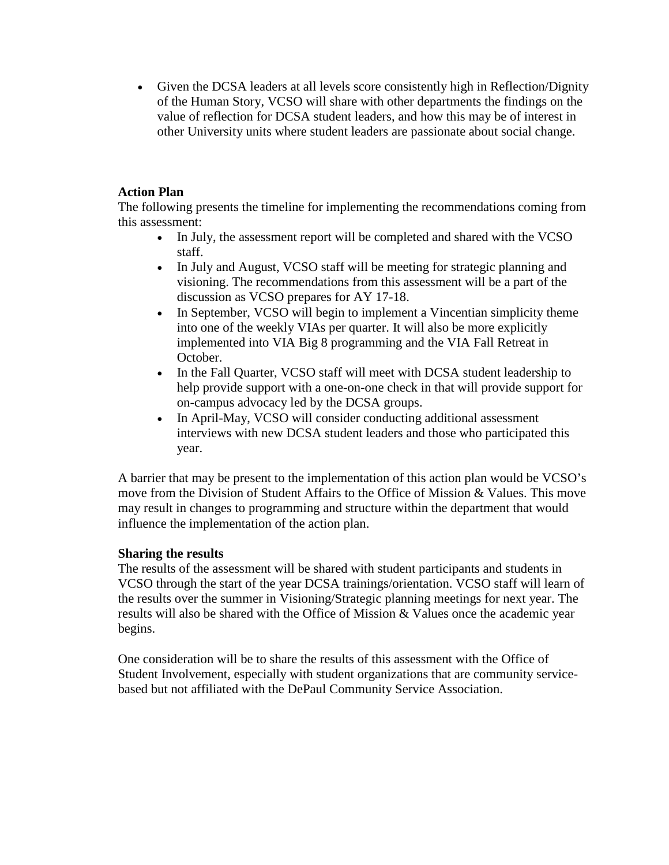• Given the DCSA leaders at all levels score consistently high in Reflection/Dignity of the Human Story, VCSO will share with other departments the findings on the value of reflection for DCSA student leaders, and how this may be of interest in other University units where student leaders are passionate about social change.

## **Action Plan**

The following presents the timeline for implementing the recommendations coming from this assessment:

- In July, the assessment report will be completed and shared with the VCSO staff.
- In July and August, VCSO staff will be meeting for strategic planning and visioning. The recommendations from this assessment will be a part of the discussion as VCSO prepares for AY 17-18.
- In September, VCSO will begin to implement a Vincentian simplicity theme into one of the weekly VIAs per quarter. It will also be more explicitly implemented into VIA Big 8 programming and the VIA Fall Retreat in October.
- In the Fall Quarter, VCSO staff will meet with DCSA student leadership to help provide support with a one-on-one check in that will provide support for on-campus advocacy led by the DCSA groups.
- In April-May, VCSO will consider conducting additional assessment interviews with new DCSA student leaders and those who participated this year.

A barrier that may be present to the implementation of this action plan would be VCSO's move from the Division of Student Affairs to the Office of Mission & Values. This move may result in changes to programming and structure within the department that would influence the implementation of the action plan.

#### **Sharing the results**

The results of the assessment will be shared with student participants and students in VCSO through the start of the year DCSA trainings/orientation. VCSO staff will learn of the results over the summer in Visioning/Strategic planning meetings for next year. The results will also be shared with the Office of Mission & Values once the academic year begins.

One consideration will be to share the results of this assessment with the Office of Student Involvement, especially with student organizations that are community servicebased but not affiliated with the DePaul Community Service Association.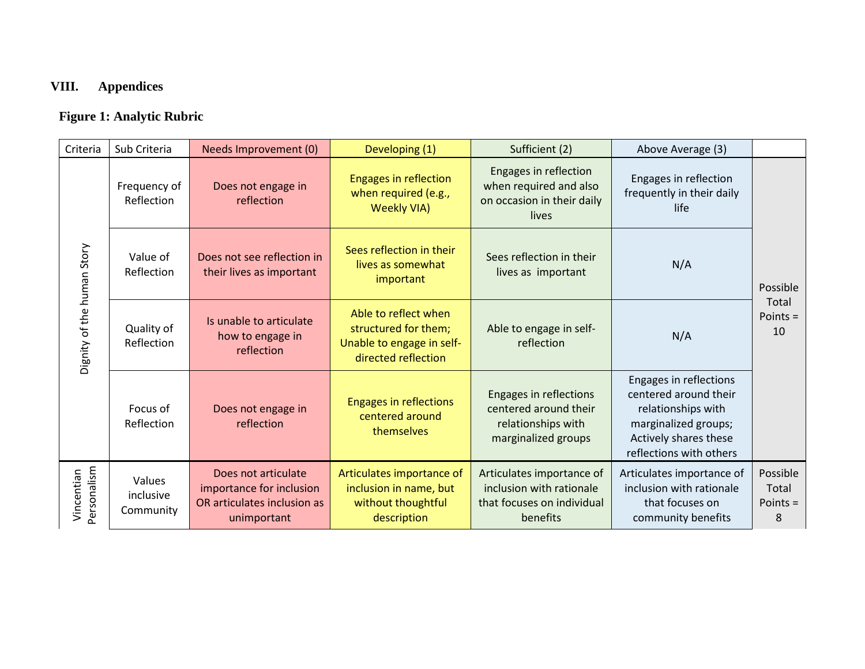## **VIII. Appendices**

## **Figure 1: Analytic Rubric**

| Criteria                   | Sub Criteria                                                                          | Needs Improvement (0)                                                                                                                                                                                                                                                                                                                                                                          | Developing (1)                                                                                   | Sufficient (2)                                                                                | Above Average (3)                                                                                                                                 |                           |
|----------------------------|---------------------------------------------------------------------------------------|------------------------------------------------------------------------------------------------------------------------------------------------------------------------------------------------------------------------------------------------------------------------------------------------------------------------------------------------------------------------------------------------|--------------------------------------------------------------------------------------------------|-----------------------------------------------------------------------------------------------|---------------------------------------------------------------------------------------------------------------------------------------------------|---------------------------|
|                            | Frequency of<br>Reflection                                                            | Does not engage in<br>reflection                                                                                                                                                                                                                                                                                                                                                               | <b>Engages in reflection</b><br>when required (e.g.,<br><b>Weekly VIA)</b>                       | <b>Engages in reflection</b><br>when required and also<br>on occasion in their daily<br>lives | Engages in reflection<br>frequently in their daily<br>life                                                                                        |                           |
|                            | Value of<br>Reflection                                                                | Does not see reflection in<br>their lives as important                                                                                                                                                                                                                                                                                                                                         | Sees reflection in their<br>lives as somewhat<br>important                                       | Sees reflection in their<br>lives as important                                                | N/A                                                                                                                                               | Possible                  |
| Dignity of the human Story | Is unable to articulate<br>Quality of<br>how to engage in<br>Reflection<br>reflection |                                                                                                                                                                                                                                                                                                                                                                                                | Able to reflect when<br>structured for them;<br>Unable to engage in self-<br>directed reflection | Able to engage in self-<br>reflection                                                         | N/A                                                                                                                                               | Total<br>Points $=$<br>10 |
|                            | Focus of<br>Reflection                                                                | Does not engage in<br>reflection                                                                                                                                                                                                                                                                                                                                                               | <b>Engages in reflections</b><br>centered around<br>themselves                                   | Engages in reflections<br>centered around their<br>relationships with<br>marginalized groups  | Engages in reflections<br>centered around their<br>relationships with<br>marginalized groups;<br>Actively shares these<br>reflections with others |                           |
| Personalism<br>Vincentian  | Values<br>inclusive<br>Community                                                      | Articulates importance of<br>Articulates importance of<br>Articulates importance of<br>Does not articulate<br>inclusion in name, but<br>inclusion with rationale<br>inclusion with rationale<br>importance for inclusion<br>OR articulates inclusion as<br>without thoughtful<br>that focuses on individual<br>that focuses on<br>benefits<br>community benefits<br>description<br>unimportant |                                                                                                  | Possible<br>Total<br>Points $=$<br>8                                                          |                                                                                                                                                   |                           |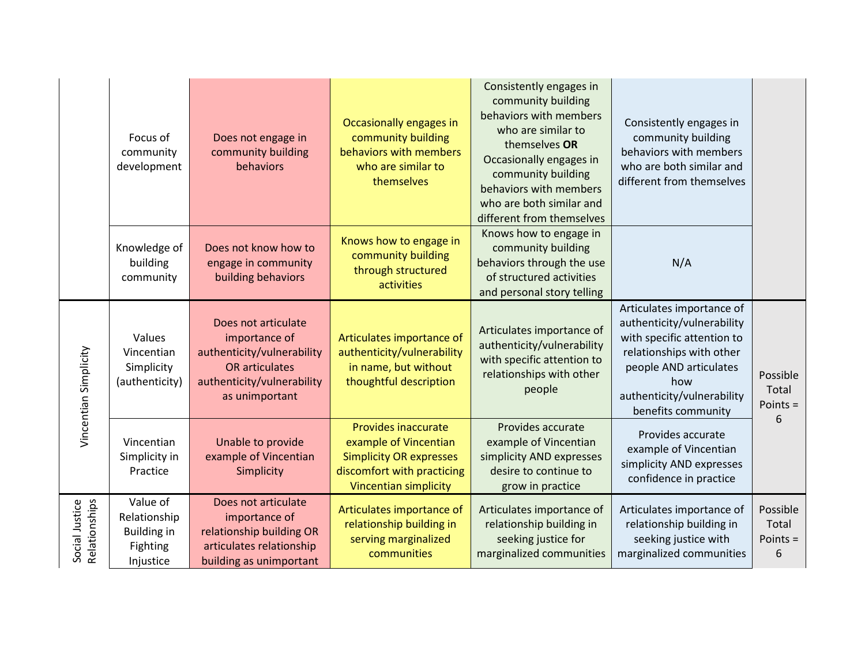|                                 | Focus of<br>community<br>development                                    | Does not engage in<br>community building<br>behaviors                                                                                       | Occasionally engages in<br>community building<br>behaviors with members<br>who are similar to<br>themselves                                  | Consistently engages in<br>community building<br>behaviors with members<br>who are similar to<br>themselves OR<br>Occasionally engages in<br>community building<br>behaviors with members<br>who are both similar and | Consistently engages in<br>community building<br>behaviors with members<br>who are both similar and<br>different from themselves                                                                       |                                      |
|---------------------------------|-------------------------------------------------------------------------|---------------------------------------------------------------------------------------------------------------------------------------------|----------------------------------------------------------------------------------------------------------------------------------------------|-----------------------------------------------------------------------------------------------------------------------------------------------------------------------------------------------------------------------|--------------------------------------------------------------------------------------------------------------------------------------------------------------------------------------------------------|--------------------------------------|
|                                 | Knowledge of<br>building<br>community                                   | Does not know how to<br>engage in community<br>building behaviors                                                                           | Knows how to engage in<br>community building<br>through structured<br>activities                                                             | different from themselves<br>Knows how to engage in<br>community building<br>behaviors through the use<br>of structured activities<br>and personal story telling                                                      | N/A                                                                                                                                                                                                    |                                      |
| Vincentian Simplicity           | Values<br>Vincentian<br>Simplicity<br>(authenticity)                    | Does not articulate<br>importance of<br>authenticity/vulnerability<br><b>OR</b> articulates<br>authenticity/vulnerability<br>as unimportant | Articulates importance of<br>authenticity/vulnerability<br>in name, but without<br>thoughtful description                                    | Articulates importance of<br>authenticity/vulnerability<br>with specific attention to<br>relationships with other<br>people                                                                                           | Articulates importance of<br>authenticity/vulnerability<br>with specific attention to<br>relationships with other<br>people AND articulates<br>how<br>authenticity/vulnerability<br>benefits community | Possible<br>Total<br>Points =        |
|                                 | Vincentian<br>Simplicity in<br>Practice                                 | Unable to provide<br>example of Vincentian<br>Simplicity                                                                                    | <b>Provides inaccurate</b><br>example of Vincentian<br><b>Simplicity OR expresses</b><br>discomfort with practicing<br>Vincentian simplicity | Provides accurate<br>example of Vincentian<br>simplicity AND expresses<br>desire to continue to<br>grow in practice                                                                                                   | Provides accurate<br>example of Vincentian<br>simplicity AND expresses<br>confidence in practice                                                                                                       | 6                                    |
| Relationships<br>Social Justice | Value of<br>Relationship<br><b>Building in</b><br>Fighting<br>Injustice | Does not articulate<br>importance of<br>relationship building OR<br>articulates relationship<br>building as unimportant                     | Articulates importance of<br>relationship building in<br>serving marginalized<br>communities                                                 | Articulates importance of<br>relationship building in<br>seeking justice for<br>marginalized communities                                                                                                              | Articulates importance of<br>relationship building in<br>seeking justice with<br>marginalized communities                                                                                              | Possible<br>Total<br>Points $=$<br>6 |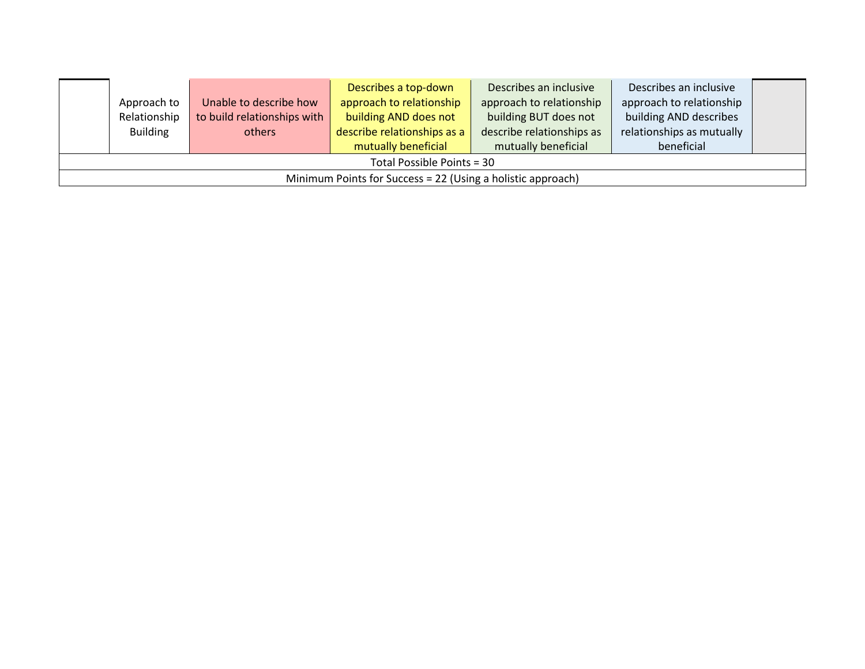|                                                             | Approach to<br>Relationship<br><b>Building</b> | Unable to describe how<br>to build relationships with<br>others | Describes a top-down<br>approach to relationship<br>building AND does not<br>describe relationships as a<br>mutually beneficial | Describes an inclusive<br>approach to relationship<br>building BUT does not<br>describe relationships as<br>mutually beneficial | Describes an inclusive<br>approach to relationship<br>building AND describes<br>relationships as mutually<br>beneficial |  |  |  |
|-------------------------------------------------------------|------------------------------------------------|-----------------------------------------------------------------|---------------------------------------------------------------------------------------------------------------------------------|---------------------------------------------------------------------------------------------------------------------------------|-------------------------------------------------------------------------------------------------------------------------|--|--|--|
|                                                             | Total Possible Points = 30                     |                                                                 |                                                                                                                                 |                                                                                                                                 |                                                                                                                         |  |  |  |
| Minimum Points for Success = 22 (Using a holistic approach) |                                                |                                                                 |                                                                                                                                 |                                                                                                                                 |                                                                                                                         |  |  |  |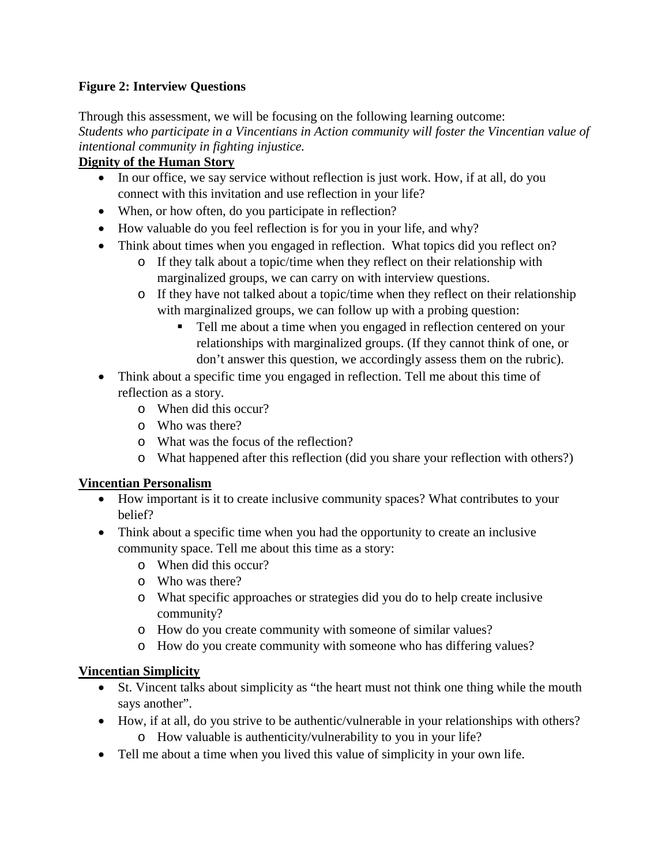## **Figure 2: Interview Questions**

Through this assessment, we will be focusing on the following learning outcome: *Students who participate in a Vincentians in Action community will foster the Vincentian value of intentional community in fighting injustice.*

## **Dignity of the Human Story**

- In our office, we say service without reflection is just work. How, if at all, do you connect with this invitation and use reflection in your life?
- When, or how often, do you participate in reflection?
- How valuable do you feel reflection is for you in your life, and why?
- Think about times when you engaged in reflection. What topics did you reflect on?
	- o If they talk about a topic/time when they reflect on their relationship with marginalized groups, we can carry on with interview questions.
	- o If they have not talked about a topic/time when they reflect on their relationship with marginalized groups, we can follow up with a probing question:
		- Tell me about a time when you engaged in reflection centered on your relationships with marginalized groups. (If they cannot think of one, or don't answer this question, we accordingly assess them on the rubric).
- Think about a specific time you engaged in reflection. Tell me about this time of reflection as a story.
	- o When did this occur?
	- o Who was there?
	- o What was the focus of the reflection?
	- o What happened after this reflection (did you share your reflection with others?)

## **Vincentian Personalism**

- How important is it to create inclusive community spaces? What contributes to your belief?
- Think about a specific time when you had the opportunity to create an inclusive community space. Tell me about this time as a story:
	- o When did this occur?
	- o Who was there?
	- o What specific approaches or strategies did you do to help create inclusive community?
	- o How do you create community with someone of similar values?
	- o How do you create community with someone who has differing values?

## **Vincentian Simplicity**

- St. Vincent talks about simplicity as "the heart must not think one thing while the mouth says another".
- How, if at all, do you strive to be authentic/vulnerable in your relationships with others? o How valuable is authenticity/vulnerability to you in your life?
- Tell me about a time when you lived this value of simplicity in your own life.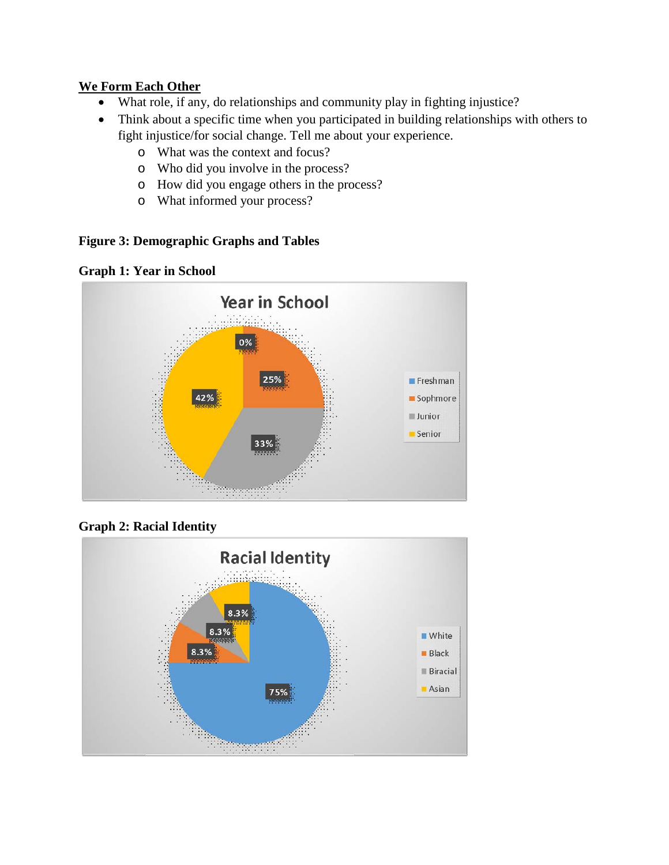## **We Form Each Other**

- What role, if any, do relationships and community play in fighting injustice?
- Think about a specific time when you participated in building relationships with others to fight injustice/for social change. Tell me about your experience.
	- o What was the context and focus?
	- o Who did you involve in the process?
	- o How did you engage others in the process?
	- o What informed your process?

## **Figure 3: Demographic Graphs and Tables**



## **Graph 1: Year in School**

## **Graph 2: Racial Identity**

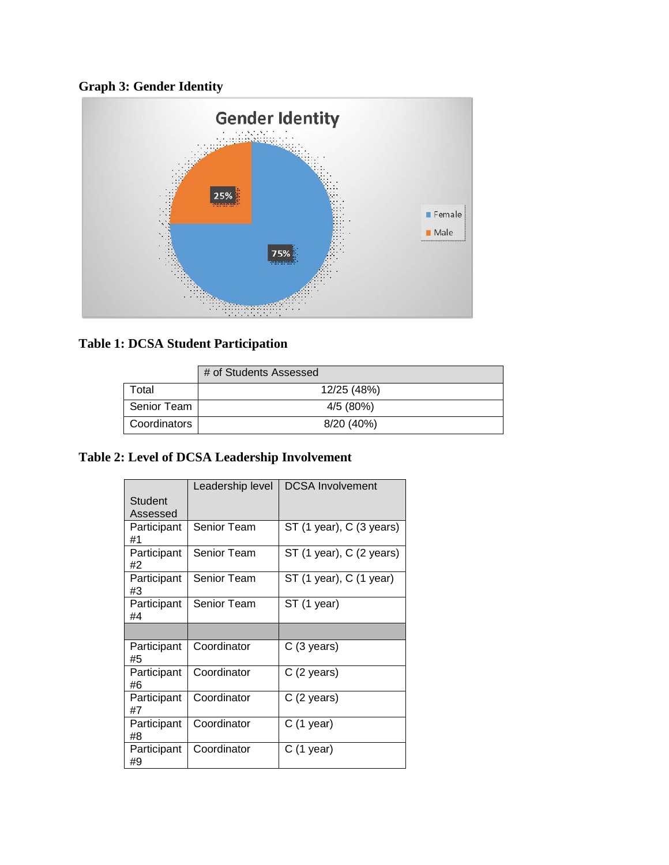



**Table 1: DCSA Student Participation**

|                | # of Students Assessed |  |  |
|----------------|------------------------|--|--|
| Total          | 12/25 (48%)            |  |  |
| Senior Team    | 4/5 (80%)              |  |  |
| l Coordinators | 8/20 (40%)             |  |  |

## **Table 2: Level of DCSA Leadership Involvement**

|                     | Leadership level | <b>DCSA Involvement</b>  |
|---------------------|------------------|--------------------------|
| Student<br>Assessed |                  |                          |
| Participant<br>#1   | Senior Team      | ST (1 year), C (3 years) |
| Participant<br>#2   | Senior Team      | ST (1 year), C (2 years) |
| Participant<br>#3   | Senior Team      | ST (1 year), C (1 year)  |
| Participant<br>#4   | Senior Team      | ST (1 year)              |
|                     |                  |                          |
| Participant<br>#5   | Coordinator      | C (3 years)              |
| Participant<br>#6   | Coordinator      | $C(2 \text{ years})$     |
| Participant<br>#7   | Coordinator      | $C(2 \text{ years})$     |
| Participant<br>#8   | Coordinator      | $C(1$ year)              |
| Participant<br>#9   | Coordinator      | C (1 year)               |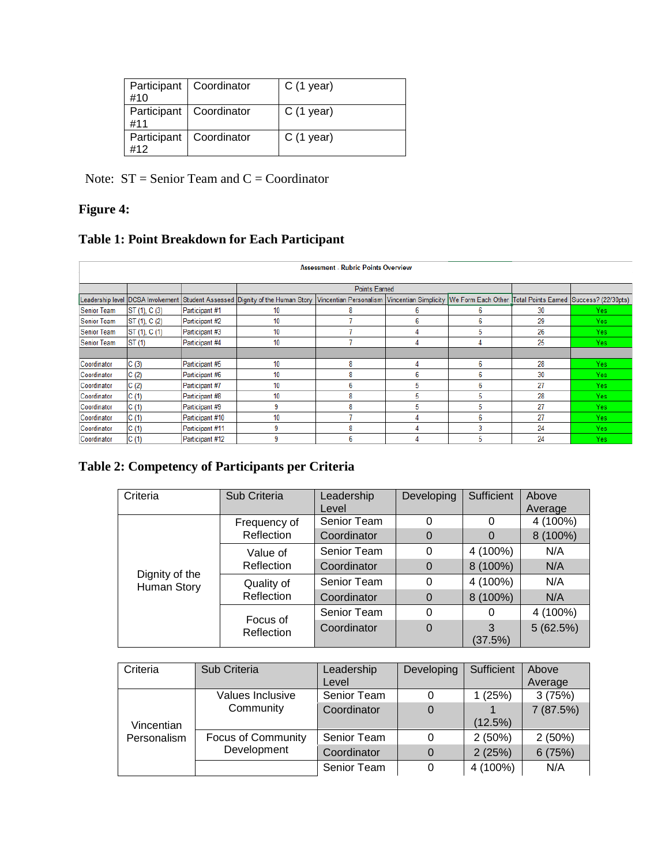| #10 | Participant   Coordinator | $C(1$ year) |
|-----|---------------------------|-------------|
| #11 | Participant   Coordinator | $C(1$ year) |
| #12 | Participant   Coordinator | $C(1$ year) |

Note:  $ST =$  Senior Team and  $C =$  Coordinator

## **Figure 4:**

## **Table 1: Point Breakdown for Each Participant**

| <b>Assessment - Rubric Points Overview</b> |               |                 |                                                                                                                                                                                       |                      |   |   |    |            |  |  |
|--------------------------------------------|---------------|-----------------|---------------------------------------------------------------------------------------------------------------------------------------------------------------------------------------|----------------------|---|---|----|------------|--|--|
|                                            |               |                 |                                                                                                                                                                                       |                      |   |   |    |            |  |  |
|                                            |               |                 |                                                                                                                                                                                       | <b>Points Earned</b> |   |   |    |            |  |  |
|                                            |               |                 | Leadership level DCSA Involvement Student Assessed Dignity of the Human Story Vincentian Personalism Wincentian Simplicity We Form Each Other Total Points Earned Success? (22/30pts) |                      |   |   |    |            |  |  |
| Senior Team                                | ST (1), C (3) | Participant #1  | 10                                                                                                                                                                                    | 8                    | 6 | 6 | 30 | Yes:       |  |  |
| Senior Team                                | ST (1), C (2) | Participant #2  | 10                                                                                                                                                                                    |                      | 6 | 6 | 29 | Yes        |  |  |
| Senior Team                                | ST (1), C (1) | Participant #3  | 10                                                                                                                                                                                    |                      |   | 5 | 26 | Yes        |  |  |
| Senior Team                                | ST(1)         | Participant #4  | 10                                                                                                                                                                                    |                      |   |   | 25 | <b>Yes</b> |  |  |
|                                            |               |                 |                                                                                                                                                                                       |                      |   |   |    |            |  |  |
| Coordinator                                | C(3)          | Participant #5  | 10                                                                                                                                                                                    | 8                    |   | 6 | 28 | Yes:       |  |  |
| Coordinator                                | C(2)          | Participant #6  | 10                                                                                                                                                                                    | 8                    | 6 | 6 | 30 | Yes:       |  |  |
| Coordinator                                | C(2)          | Participant #7  | 10                                                                                                                                                                                    | 6                    | 5 | 6 | 27 | Yes        |  |  |
| Coordinator                                | C(1)          | Participant #8  | 10                                                                                                                                                                                    | 8                    | 5 | 5 | 28 | Yes        |  |  |
| Coordinator                                | C(1)          | Participant #9  | 9                                                                                                                                                                                     | 8                    | 5 | 5 | 27 | Yes        |  |  |
| Coordinator                                | C(1)          | Participant #10 | 10                                                                                                                                                                                    |                      |   | 6 | 27 | Yes:       |  |  |
| Coordinator                                | C(1)          | Participant #11 | 9                                                                                                                                                                                     | 8                    |   | 3 | 24 | Yes:       |  |  |
| Coordinator                                | C(1)          | Participant #12 | 9                                                                                                                                                                                     | 6                    |   | 5 | 24 | Yes        |  |  |

## **Table 2: Competency of Participants per Criteria**

| Criteria                      | Sub Criteria             | Leadership  | Developing | Sufficient   | Above    |
|-------------------------------|--------------------------|-------------|------------|--------------|----------|
|                               |                          | Level       |            |              | Average  |
|                               | Frequency of             | Senior Team | 0          | 0            | 4 (100%) |
|                               | Reflection               | Coordinator |            | 0            | 8 (100%) |
|                               | Value of<br>Reflection   | Senior Team | 0          | 4 (100%)     | N/A      |
|                               |                          | Coordinator | $\Omega$   | 8 (100%)     | N/A      |
| Dignity of the<br>Human Story | Quality of<br>Reflection | Senior Team | 0          | 4 (100%)     | N/A      |
|                               |                          | Coordinator | $\Omega$   | 8 (100%)     | N/A      |
|                               |                          | Senior Team | 0          | 0            | 4 (100%) |
|                               | Focus of<br>Reflection   | Coordinator | 0          | 3<br>(37.5%) | 5(62.5%) |

| Criteria                  | Sub Criteria                             | Leadership  | Developing | Sufficient | Above    |
|---------------------------|------------------------------------------|-------------|------------|------------|----------|
|                           |                                          | Level       |            |            | Average  |
|                           | Values Inclusive                         | Senior Team | 0          | 1(25%)     | 3(75%)   |
| Vincentian<br>Personalism | Community                                | Coordinator |            |            | 7(87.5%) |
|                           |                                          |             |            | (12.5%)    |          |
|                           | <b>Focus of Community</b><br>Development | Senior Team |            | 2(50%)     | 2(50%)   |
|                           |                                          | Coordinator |            | 2(25%)     | 6(75%)   |
|                           |                                          | Senior Team |            | 4 (100%)   | N/A      |